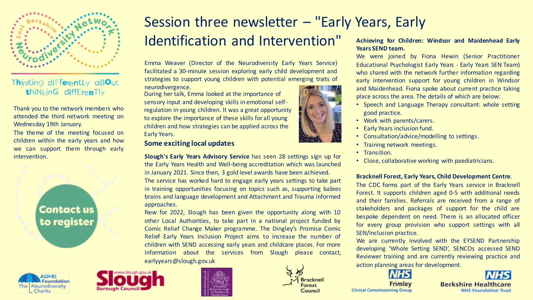

### Thinking differently aBOut thiNkinG diffErenTly

Thank you to the network members who attended the third network meeting on Wednesday 19th January.

The theme of the meeting focused on children within the early years and how we can support them through early

> **Contact us** to register





### Session three newsletter – "Early Years, Early Identification and Intervention" **Years SEND team.**

Emma Weaver (Director of the Neurodiversity Early Years Service) facilitated a 30-minute session exploring early child development and strategies to support young children with potential emerging traits of neurodivergence.

During her talk, Emma looked at the importance of sensory input and developing skills in emotional selfregulation in young children. It was a great opportunity to explore the importance of these skills for all young children and how strategies can be applied across the Early Years.

#### **Some exciting local updates**

intervention. **Slough's Early Years Advisory Service** has seen 28 settings sign up for the Early Years Health and Well-being accreditation which was launched in January 2021. Since then, 3 gold level awards have been achieved. The service has worked hard to engage early years settings to take part in training opportunities focusing on topics such as, supporting babies brains and language development and Attachment and Trauma informed approaches.

> New for 2022, Slough has been given the opportunity along with 10 other Local Authorities, to take part in a national project funded by Comic Relief Change Maker programme. The Dingley's Promise Comic Relief Early Years Inclusion Project aims to increase the number of children with SEND accessing early years and childcare places. For more information about the services from Slough please contact, earlyyears@slough.gov.uk



**Bracknel** 

orest

Council

# **Achieving for Children: Windsor and Maidenhead Early**

We were joined by Fiona Hewin (Senior Practitioner Educational Psychologist Early Years - Early Years SEN Team) who shared with the network further information regarding early intervention support for young children in Windsor and Maidenhead. Fiona spoke about current practice taking place across the area. The details of which are below:

- Speech and Language Therapy consultant: whole setting good practice.
- Work with parents/carers.
- Early Years inclusion fund.
- Consultation/advice/modelling to settings.
- Training network meetings.
- Transition.
- Close, collaborative working with paediatricians.

#### **Bracknell Forest, Early Years, Child Development Centre**.

The CDC forms part of the Early Years service in Bracknell Forest. It supports children aged 0-5 with additional needs and their families. Referrals are received from a range of stakeholders and packages of support for the child are bespoke dependent on need. There is an allocated officer for every group provision who support settings with all SEN/Inclusion practice.

We are currently involved with the EYSEND Partnership developing 'Whole Setting SEND', SENCOs accessed SEND Reviewer training and are currently reviewing practice and action planning areas for development.



Frimley **Clinical Commissioning Group**